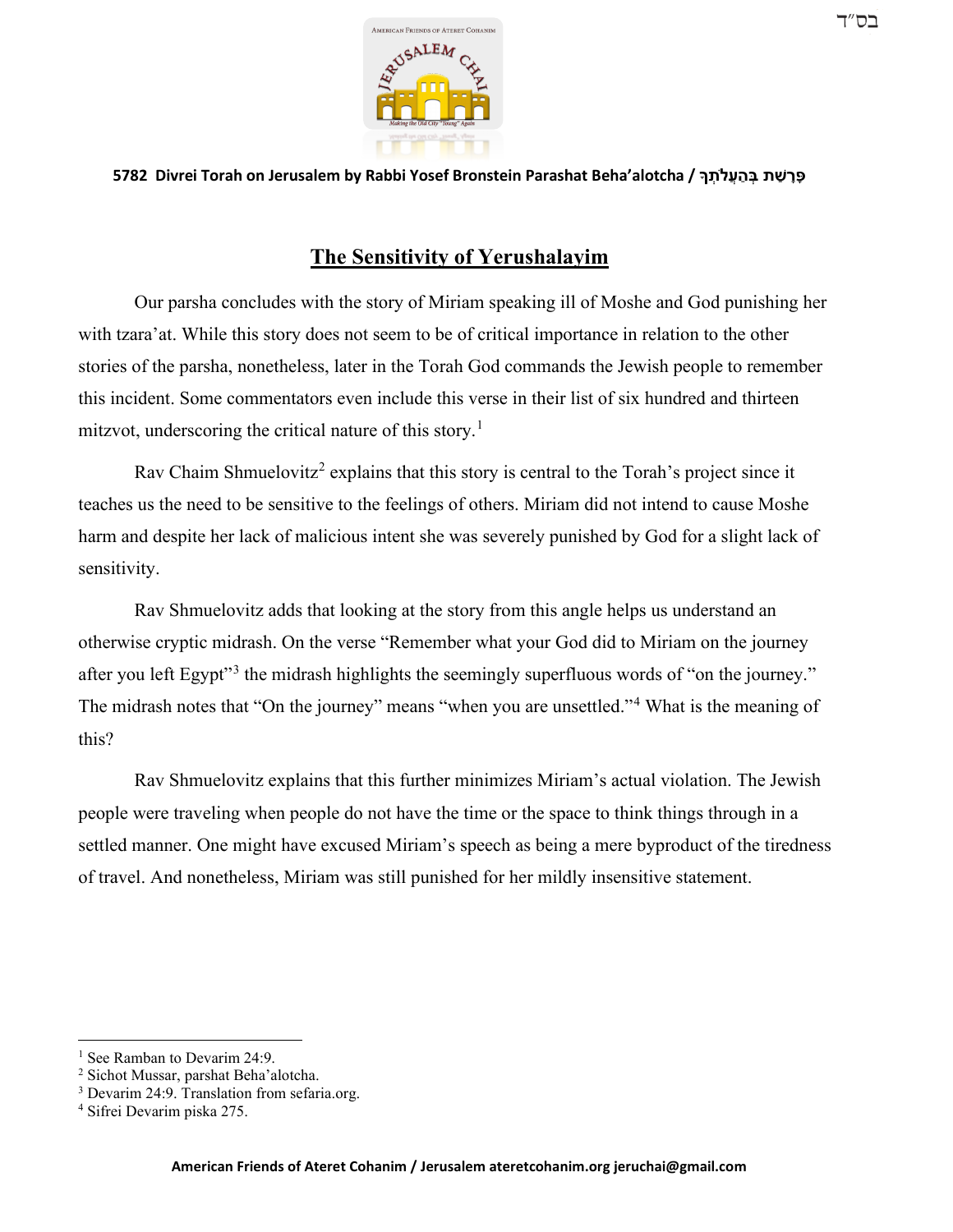

**5782 Divrei Torah on Jerusalem by Rabbi Yosef Bronstein Parashat Beha'alotcha / � ְת�ֲע ַה ְבּ ת ַשׁ ָר ָפּ**

## **The Sensitivity of Yerushalayim**

Our parsha concludes with the story of Miriam speaking ill of Moshe and God punishing her with tzara'at. While this story does not seem to be of critical importance in relation to the other stories of the parsha, nonetheless, later in the Torah God commands the Jewish people to remember this incident. Some commentators even include this verse in their list of six hundred and thirteen mitzvot, underscoring the critical nature of this story.<sup>[1](#page-0-0)</sup>

Rav Chaim Shmuelovitz<sup>[2](#page-0-1)</sup> explains that this story is central to the Torah's project since it teaches us the need to be sensitive to the feelings of others. Miriam did not intend to cause Moshe harm and despite her lack of malicious intent she was severely punished by God for a slight lack of sensitivity.

Rav Shmuelovitz adds that looking at the story from this angle helps us understand an otherwise cryptic midrash. On the verse "Remember what your God did to Miriam on the journey after you left Egypt"<sup>[3](#page-0-2)</sup> the midrash highlights the seemingly superfluous words of "on the journey." The midrash notes that "On the journey" means "when you are unsettled."[4](#page-0-3) What is the meaning of this?

Rav Shmuelovitz explains that this further minimizes Miriam's actual violation. The Jewish people were traveling when people do not have the time or the space to think things through in a settled manner. One might have excused Miriam's speech as being a mere byproduct of the tiredness of travel. And nonetheless, Miriam was still punished for her mildly insensitive statement.

<span id="page-0-0"></span><sup>&</sup>lt;sup>1</sup> See Ramban to Devarim 24:9.

<span id="page-0-1"></span><sup>2</sup> Sichot Mussar, parshat Beha'alotcha.

<span id="page-0-2"></span><sup>&</sup>lt;sup>3</sup> Devarim 24:9. Translation from sefaria.org.

<span id="page-0-3"></span><sup>4</sup> Sifrei Devarim piska 275.